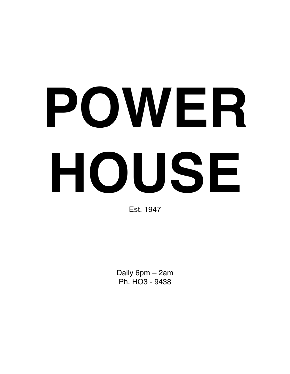# **POWER HOUSE**

Est. 1947

Daily 6pm – 2am Ph. HO3 - 9438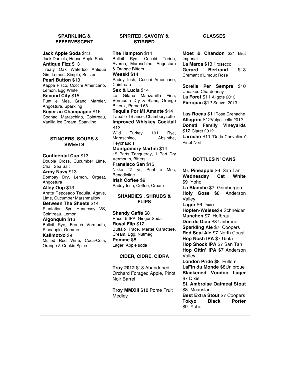#### **SPARKLING & EFFERVESCENT**

**Jack Apple Soda** \$13 Jack Daniels, House Apple Soda **Antique Fizz** \$13 Treaty Oak Waterloo Antique Gin, Lemon, Simple, Seltzer **Pearl Button** \$13 Kappa Pisco, Cocchi Americano, Lemon, Egg White **Second City** \$15 Punt e Mes, Grand Marnier, Angostura, Sparkling **Soyer au Champagne** \$16 Cognac, Maraschino, Cointreau,

#### **STINGERS, SOURS & SWEETS**

Vanilla Ice Cream, Sparkling

**Continental Cup** \$13 Double Cross, Cucumber Lime, Chai, Sea Salt **Army Navy** \$13 Bombay Dry, Lemon, Orgeat, Angostura **Alley Oop** \$13 Arette Reposado Tequila, Agave, Lime, Cucumber Marshmallow **Between The Sheets** \$14 Plantation 5yr, Hennessy VS, Cointreau, Lemon **Algonquin** \$13 Bulleit Rye, French Vermouth, Pineapple, Gomme **Kalimotxo** \$9 Mulled Red Wine, Coca-Cola, Orange & Cookie Spice

#### **SPIRITED, SAVORY & STIRRED**

**The Hampton** \$14 Bulleit Rye, Cocchi Torino, Averna, Maraschino, Angostura & Orange Bitters **Weeski** \$14 Paddy Irish, Cocchi Americano, Cointreau **Sex & Lucia** \$14 La Gitana Manzanilla Fina, Vermouth Dry & Blanc, Orange Bitters , Pernod 68 **Tequila Por Mi Amante** \$14 Tapatio TBlanco, Chamberyzette **Improved Whiskey Cocktail** \$13 Wild Turkey 101 Rye,<br>Maraschino, Absinthe, Maraschino, Peychaud's **Montgomery Martini** \$14 15 Parts Tanqueray, 1 Part Dry Vermouth, Bitters **Fransisco San** \$15 Nikka 12 yr, Punt e Mes, Benedictine **Irish Coffee** \$9 Paddy Irish, Coffee, Cream **SHANDIES , SHRUBS & FLIPS**

**Shandy Gaffe** \$8 Racer 5 IPA, Ginger Soda **Royal Flip** \$12 Buffalo Trace, Martel Caractere, Cream, Egg, Nutmeg **Pomme** \$8 Lager, Apple soda

#### **CIDER, CIDRE, CIDRA**

**Troy 2012** \$18 Abandoned Orchard Foraged Apple, Pinot Noir Barrel

**Troy MMXIII** \$18 Pome Fruit Medley

#### **GLASSES**

**Moet & Chandon** \$21 Brut Imperial **La Marca** \$13 Prosecco **Gerard Bertrand** \$13 Cremant d'Limoux Rose

**Sorelle Per Sempre** \$10 Unoaked Chardonnay **La Foret** \$11 Aligote 2013 **Pieropan** \$12 Soave 2013

**Las Rocas** \$11Rose Grenache **Allegrini** \$12Valpolicella 2012 **Donati Family Vineyards** \$12 Claret 2012 **Laroche** \$11 'De la Chevaliere' Pinot Noir

### **BOTTLES N' CANS**

**Mr. Pineapple** \$6 San Tan **Wednesday Cat White** \$9 Yoho **La Blanche** \$7 Grimbergen **Holy Gose** \$8 Anderson Valley **Lager** \$6 Dixie **Hopfen-Weisse**\$9 Schneider **Munchen** \$7 Hofbrau **Don de Dieu** \$8 Unibroue **Sparkling Ale** \$7 Coopers **Red Seal Ale** \$7 North Coast **Hop Nosh IPA** \$7 Uinta **Hop Shock IPA** \$7 San Tan **Hop Ottin' IPA** \$7 Anderson Valley **London Pride** \$8 Fullers **LaFin du Monde** \$8Unibroue **Blackened Voodoo Lager** \$7 Dixie **St. Ambroise Oatmeal Stout** \$8 Mcauslan **Best Extra Stout** \$7 Coopers **Tokyo Black Porter** \$9 Yoho